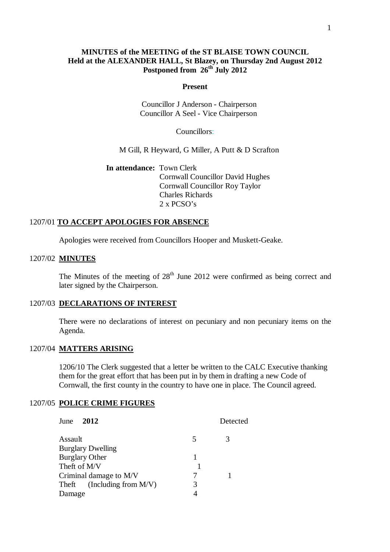# **MINUTES of the MEETING of the ST BLAISE TOWN COUNCIL Held at the ALEXANDER HALL, St Blazey, on Thursday 2nd August 2012 Postponed from 26th July 2012**

#### **Present**

 Councillor J Anderson - Chairperson Councillor A Seel - Vice Chairperson

Councillors:

M Gill, R Heyward, G Miller, A Putt & D Scrafton

**In attendance:** Town Clerk Cornwall Councillor David Hughes Cornwall Councillor Roy Taylor Charles Richards 2 x PCSO's

# 1207/01 **TO ACCEPT APOLOGIES FOR ABSENCE**

Apologies were received from Councillors Hooper and Muskett-Geake.

# 1207/02 **MINUTES**

The Minutes of the meeting of  $28<sup>th</sup>$  June 2012 were confirmed as being correct and later signed by the Chairperson.

#### 1207/03 **DECLARATIONS OF INTEREST**

There were no declarations of interest on pecuniary and non pecuniary items on the Agenda.

# 1207/04 **MATTERS ARISING**

1206/10 The Clerk suggested that a letter be written to the CALC Executive thanking them for the great effort that has been put in by them in drafting a new Code of Cornwall, the first county in the country to have one in place. The Council agreed.

#### 1207/05 **POLICE CRIME FIGURES**

| June<br>2012                     | Detected |
|----------------------------------|----------|
| Assault                          | 3<br>5   |
| <b>Burglary Dwelling</b>         |          |
| Burglary Other                   |          |
| Theft of M/V                     |          |
| Criminal damage to M/V           |          |
| (Including from $M/V$ )<br>Theft | 3        |
| Damage                           |          |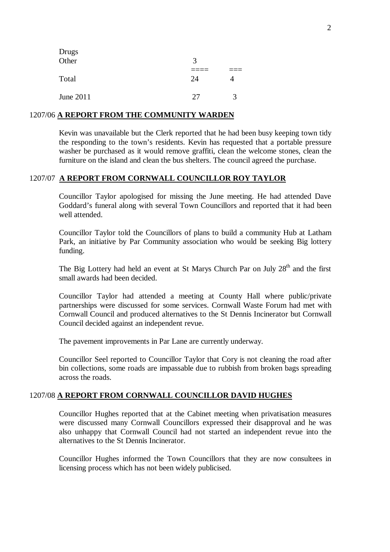| Drugs<br>Other | 3  |   |  |
|----------------|----|---|--|
|                |    |   |  |
| Total          | 24 |   |  |
| June 2011      | 27 | 3 |  |

## 1207/06 **A REPORT FROM THE COMMUNITY WARDEN**

Kevin was unavailable but the Clerk reported that he had been busy keeping town tidy the responding to the town's residents. Kevin has requested that a portable pressure washer be purchased as it would remove graffiti, clean the welcome stones, clean the furniture on the island and clean the bus shelters. The council agreed the purchase.

## 1207/07 **A REPORT FROM CORNWALL COUNCILLOR ROY TAYLOR**

Councillor Taylor apologised for missing the June meeting. He had attended Dave Goddard's funeral along with several Town Councillors and reported that it had been well attended.

Councillor Taylor told the Councillors of plans to build a community Hub at Latham Park, an initiative by Par Community association who would be seeking Big lottery funding.

The Big Lottery had held an event at St Marys Church Par on July 28<sup>th</sup> and the first small awards had been decided.

Councillor Taylor had attended a meeting at County Hall where public/private partnerships were discussed for some services. Cornwall Waste Forum had met with Cornwall Council and produced alternatives to the St Dennis Incinerator but Cornwall Council decided against an independent revue.

The pavement improvements in Par Lane are currently underway.

Councillor Seel reported to Councillor Taylor that Cory is not cleaning the road after bin collections, some roads are impassable due to rubbish from broken bags spreading across the roads.

#### 1207/08 **A REPORT FROM CORNWALL COUNCILLOR DAVID HUGHES**

Councillor Hughes reported that at the Cabinet meeting when privatisation measures were discussed many Cornwall Councillors expressed their disapproval and he was also unhappy that Cornwall Council had not started an independent revue into the alternatives to the St Dennis Incinerator.

Councillor Hughes informed the Town Councillors that they are now consultees in licensing process which has not been widely publicised.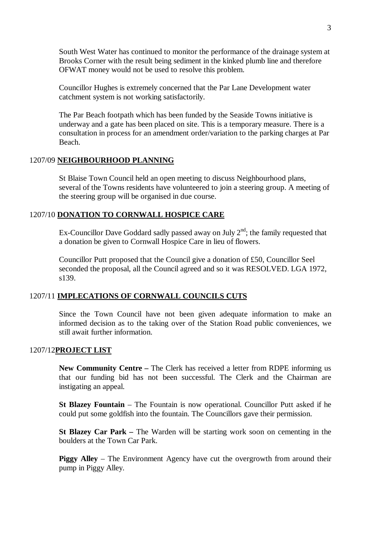South West Water has continued to monitor the performance of the drainage system at Brooks Corner with the result being sediment in the kinked plumb line and therefore OFWAT money would not be used to resolve this problem.

Councillor Hughes is extremely concerned that the Par Lane Development water catchment system is not working satisfactorily.

The Par Beach footpath which has been funded by the Seaside Towns initiative is underway and a gate has been placed on site. This is a temporary measure. There is a consultation in process for an amendment order/variation to the parking charges at Par Beach.

#### 1207/09 **NEIGHBOURHOOD PLANNING**

St Blaise Town Council held an open meeting to discuss Neighbourhood plans, several of the Towns residents have volunteered to join a steering group. A meeting of the steering group will be organised in due course.

# 1207/10 **DONATION TO CORNWALL HOSPICE CARE**

Ex-Councillor Dave Goddard sadly passed away on July  $2<sup>nd</sup>$ ; the family requested that a donation be given to Cornwall Hospice Care in lieu of flowers.

Councillor Putt proposed that the Council give a donation of £50, Councillor Seel seconded the proposal, all the Council agreed and so it was RESOLVED. LGA 1972, s139.

### 1207/11 **IMPLECATIONS OF CORNWALL COUNCILS CUTS**

Since the Town Council have not been given adequate information to make an informed decision as to the taking over of the Station Road public conveniences, we still await further information.

## 1207/12**PROJECT LIST**

**New Community Centre –** The Clerk has received a letter from RDPE informing us that our funding bid has not been successful. The Clerk and the Chairman are instigating an appeal.

**St Blazey Fountain** – The Fountain is now operational. Councillor Putt asked if he could put some goldfish into the fountain. The Councillors gave their permission.

**St Blazey Car Park –** The Warden will be starting work soon on cementing in the boulders at the Town Car Park.

**Piggy Alley** – The Environment Agency have cut the overgrowth from around their pump in Piggy Alley.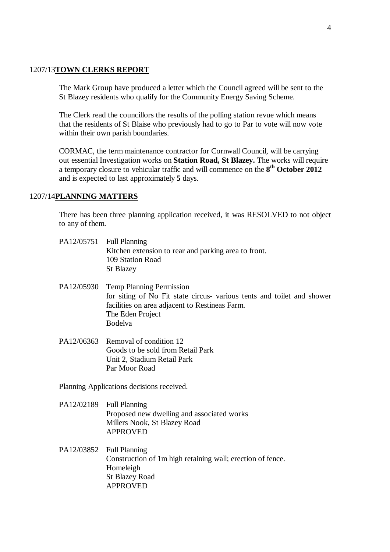#### 1207/13**TOWN CLERKS REPORT**

The Mark Group have produced a letter which the Council agreed will be sent to the St Blazey residents who qualify for the Community Energy Saving Scheme.

The Clerk read the councillors the results of the polling station revue which means that the residents of St Blaise who previously had to go to Par to vote will now vote within their own parish boundaries.

CORMAC, the term maintenance contractor for Cornwall Council, will be carrying out essential Investigation works on **Station Road, St Blazey.** The works will require a temporary closure to vehicular traffic and will commence on the **8 th October 2012** and is expected to last approximately **5** days.

## 1207/14**PLANNING MATTERS**

There has been three planning application received, it was RESOLVED to not object to any of them.

| PA12/05751 Full Planning                             |  |
|------------------------------------------------------|--|
| Kitchen extension to rear and parking area to front. |  |
| 109 Station Road                                     |  |
| St Blazey                                            |  |
|                                                      |  |

- PA12/05930 Temp Planning Permission for siting of No Fit state circus- various tents and toilet and shower facilities on area adjacent to Restineas Farm. The Eden Project Bodelva
- PA12/06363 Removal of condition 12 Goods to be sold from Retail Park Unit 2, Stadium Retail Park Par Moor Road

Planning Applications decisions received.

- PA12/02189 Full Planning Proposed new dwelling and associated works Millers Nook, St Blazey Road APPROVED
- PA12/03852 Full Planning Construction of 1m high retaining wall; erection of fence. Homeleigh St Blazey Road APPROVED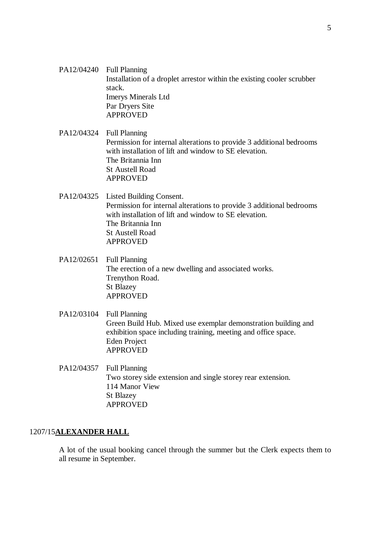- PA12/04240 Full Planning Installation of a droplet arrestor within the existing cooler scrubber stack. Imerys Minerals Ltd Par Dryers Site APPROVED
- PA12/04324 Full Planning Permission for internal alterations to provide 3 additional bedrooms with installation of lift and window to SE elevation. The Britannia Inn St Austell Road APPROVED
- PA12/04325 Listed Building Consent. Permission for internal alterations to provide 3 additional bedrooms with installation of lift and window to SE elevation. The Britannia Inn St Austell Road APPROVED
- PA12/02651 Full Planning The erection of a new dwelling and associated works. Trenython Road. St Blazey APPROVED
- PA12/03104 Full Planning Green Build Hub. Mixed use exemplar demonstration building and exhibition space including training, meeting and office space. Eden Project APPROVED
- PA12/04357 Full Planning Two storey side extension and single storey rear extension. 114 Manor View St Blazey APPROVED

#### 1207/15**ALEXANDER HALL**

A lot of the usual booking cancel through the summer but the Clerk expects them to all resume in September.